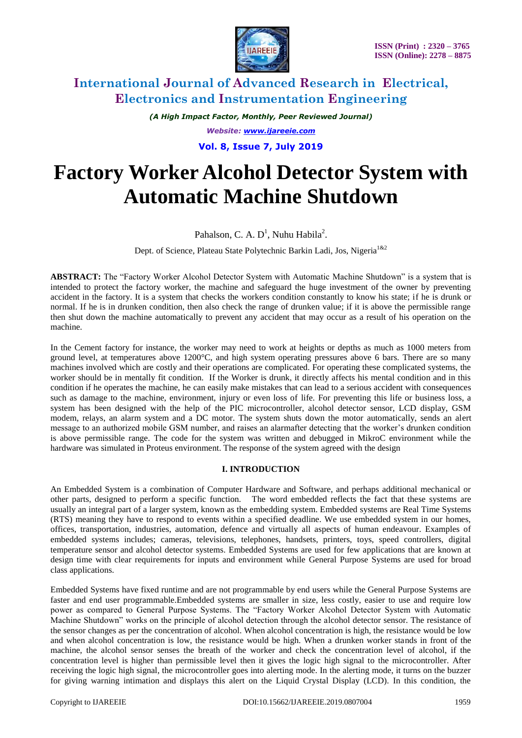

*(A High Impact Factor, Monthly, Peer Reviewed Journal) Website: [www.ijareeie.com](http://www.ijareeie.com/)* **Vol. 8, Issue 7, July 2019**

# **Factory Worker Alcohol Detector System with Automatic Machine Shutdown**

Pahalson, C. A.  $D^1$ , Nuhu Habila<sup>2</sup>.

Dept. of Science, Plateau State Polytechnic Barkin Ladi, Jos, Nigeria<sup>1&2</sup>

**ABSTRACT:** The "Factory Worker Alcohol Detector System with Automatic Machine Shutdown" is a system that is intended to protect the factory worker, the machine and safeguard the huge investment of the owner by preventing accident in the factory. It is a system that checks the workers condition constantly to know his state; if he is drunk or normal. If he is in drunken condition, then also check the range of drunken value; if it is above the permissible range then shut down the machine automatically to prevent any accident that may occur as a result of his operation on the machine.

In the Cement factory for instance, the worker may need to work at heights or depths as much as 1000 meters from ground level, at temperatures above 1200°C, and high system operating pressures above 6 bars. There are so many machines involved which are costly and their operations are complicated. For operating these complicated systems, the worker should be in mentally fit condition. If the Worker is drunk, it directly affects his mental condition and in this condition if he operates the machine, he can easily make mistakes that can lead to a serious accident with consequences such as damage to the machine, environment, injury or even loss of life. For preventing this life or business loss, a system has been designed with the help of the PIC microcontroller, alcohol detector sensor, LCD display, GSM modem, relays, an alarm system and a DC motor. The system shuts down the motor automatically, sends an alert message to an authorized mobile GSM number, and raises an alarmafter detecting that the worker's drunken condition is above permissible range. The code for the system was written and debugged in MikroC environment while the hardware was simulated in Proteus environment. The response of the system agreed with the design

#### **I. INTRODUCTION**

An Embedded System is a combination of Computer Hardware and Software, and perhaps additional mechanical or other parts, designed to perform a specific function. The word embedded reflects the fact that these systems are usually an integral part of a larger system, known as the embedding system. Embedded systems are Real Time Systems (RTS) meaning they have to respond to events within a specified deadline. We use embedded system in our homes, offices, transportation, industries, automation, defence and virtually all aspects of human endeavour. Examples of embedded systems includes; cameras, televisions, telephones, handsets, printers, toys, speed controllers, digital temperature sensor and alcohol detector systems. Embedded Systems are used for few applications that are known at design time with clear requirements for inputs and environment while General Purpose Systems are used for broad class applications.

Embedded Systems have fixed runtime and are not programmable by end users while the General Purpose Systems are faster and end user programmable.Embedded systems are smaller in size, less costly, easier to use and require low power as compared to General Purpose Systems. The "Factory Worker Alcohol Detector System with Automatic Machine Shutdown" works on the principle of alcohol detection through the alcohol detector sensor. The resistance of the sensor changes as per the concentration of alcohol. When alcohol concentration is high, the resistance would be low and when alcohol concentration is low, the resistance would be high. When a drunken worker stands in front of the machine, the alcohol sensor senses the breath of the worker and check the concentration level of alcohol, if the concentration level is higher than permissible level then it gives the logic high signal to the microcontroller. After receiving the logic high signal, the microcontroller goes into alerting mode. In the alerting mode, it turns on the buzzer for giving warning intimation and displays this alert on the Liquid Crystal Display (LCD). In this condition, the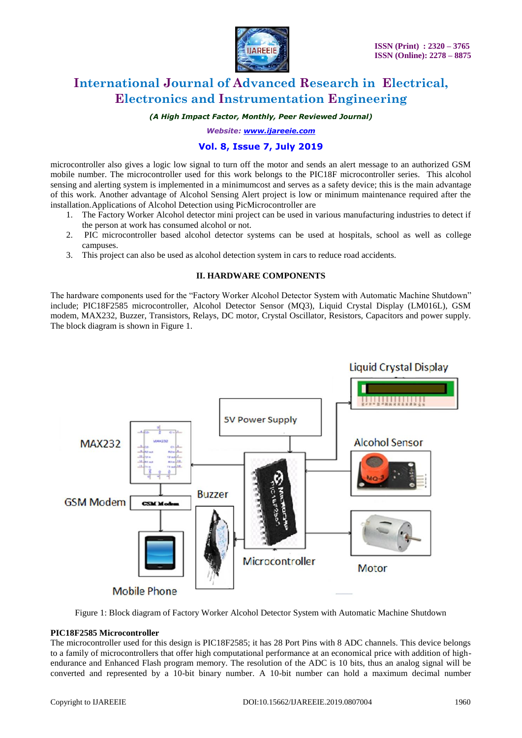

*(A High Impact Factor, Monthly, Peer Reviewed Journal)*

*Website: [www.ijareeie.com](http://www.ijareeie.com/)*

### **Vol. 8, Issue 7, July 2019**

microcontroller also gives a logic low signal to turn off the motor and sends an alert message to an authorized GSM mobile number. The microcontroller used for this work belongs to the PIC18F microcontroller series. This alcohol sensing and alerting system is implemented in a minimumcost and serves as a safety device; this is the main advantage of this work. Another advantage of Alcohol Sensing Alert project is low or minimum maintenance required after the installation.Applications of Alcohol Detection using PicMicrocontroller are

- 1. The Factory Worker Alcohol detector mini project can be used in various manufacturing industries to detect if the person at work has consumed alcohol or not.
- 2. PIC microcontroller based alcohol detector systems can be used at hospitals, school as well as college campuses.
- 3. This project can also be used as alcohol detection system in cars to reduce road accidents.

#### **II. HARDWARE COMPONENTS**

The hardware components used for the "Factory Worker Alcohol Detector System with Automatic Machine Shutdown" include; PIC18F2585 microcontroller, Alcohol Detector Sensor (MQ3), Liquid Crystal Display (LM016L), GSM modem, MAX232, Buzzer, Transistors, Relays, DC motor, Crystal Oscillator, Resistors, Capacitors and power supply. The block diagram is shown in Figure 1.



Figure 1: Block diagram of Factory Worker Alcohol Detector System with Automatic Machine Shutdown

#### **PIC18F2585 Microcontroller**

The microcontroller used for this design is PIC18F2585; it has 28 Port Pins with 8 ADC channels. This device belongs to a family of microcontrollers that offer high computational performance at an economical price with addition of highendurance and Enhanced Flash program memory. The resolution of the ADC is 10 bits, thus an analog signal will be converted and represented by a 10-bit binary number. A 10-bit number can hold a maximum decimal number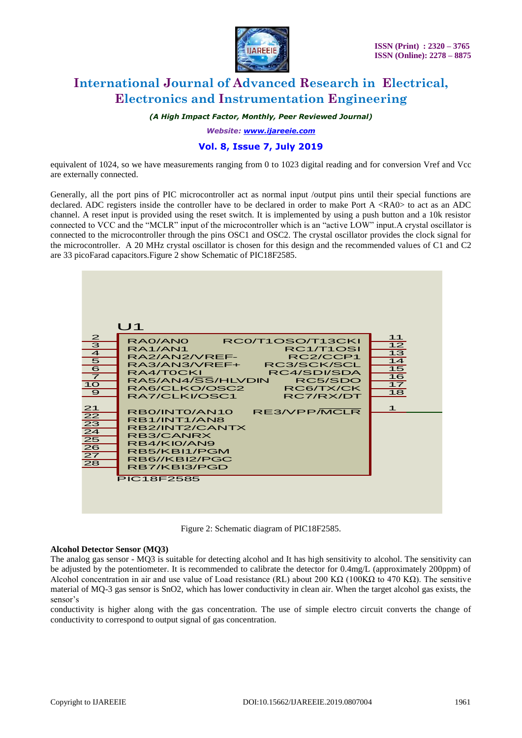

*(A High Impact Factor, Monthly, Peer Reviewed Journal)*

*Website: [www.ijareeie.com](http://www.ijareeie.com/)*

### **Vol. 8, Issue 7, July 2019**

equivalent of 1024, so we have measurements ranging from 0 to 1023 digital reading and for conversion Vref and Vcc are externally connected.

Generally, all the port pins of PIC microcontroller act as normal input /output pins until their special functions are declared. ADC registers inside the controller have to be declared in order to make Port A <RA0> to act as an ADC channel. A reset input is provided using the reset switch. It is implemented by using a push button and a 10k resistor connected to VCC and the "MCLR" input of the microcontroller which is an "active LOW" input.A crystal oscillator is connected to the microcontroller through the pins OSC1 and OSC2. The crystal oscillator provides the clock signal for the microcontroller. A 20 MHz crystal oscillator is chosen for this design and the recommended values of C1 and C2 are 33 picoFarad capacitors.Figure 2 show Schematic of PIC18F2585.



Figure 2: Schematic diagram of PIC18F2585.

#### **Alcohol Detector Sensor (MQ3)**

The analog gas sensor - MQ3 is suitable for detecting alcohol and It has high sensitivity to alcohol. The sensitivity can be adjusted by the potentiometer. It is recommended to calibrate the detector for 0.4mg/L (approximately 200ppm) of Alcohol concentration in air and use value of Load resistance (RL) about 200 K $\Omega$  (100K $\Omega$  to 470 K $\Omega$ ). The sensitive material of MQ-3 gas sensor is SnO2, which has lower conductivity in clean air. When the target alcohol gas exists, the sensor's

conductivity is higher along with the gas concentration. The use of simple electro circuit converts the change of conductivity to correspond to output signal of gas concentration.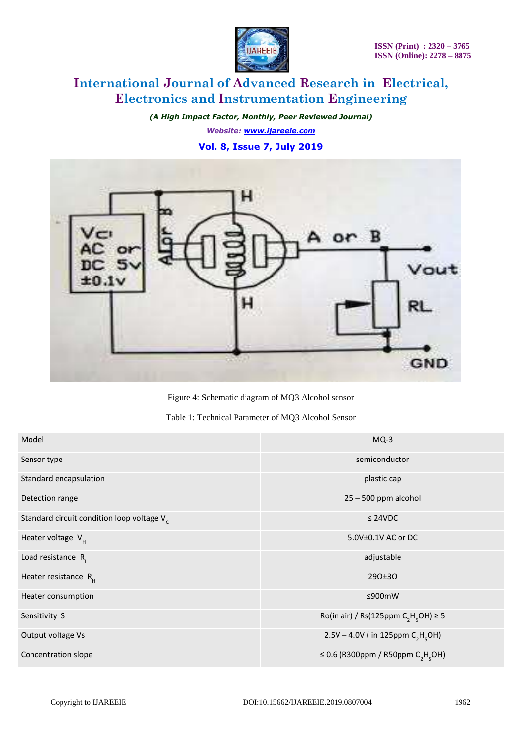

*(A High Impact Factor, Monthly, Peer Reviewed Journal) Website: [www.ijareeie.com](http://www.ijareeie.com/)* **Vol. 8, Issue 7, July 2019**



Figure 4: Schematic diagram of MQ3 Alcohol sensor

| Table 1: Technical Parameter of MQ3 Alcohol Sensor |  |
|----------------------------------------------------|--|
|----------------------------------------------------|--|

| Model                                         | $MQ-3$                                                    |
|-----------------------------------------------|-----------------------------------------------------------|
| Sensor type                                   | semiconductor                                             |
| Standard encapsulation                        | plastic cap                                               |
| Detection range                               | $25 - 500$ ppm alcohol                                    |
| Standard circuit condition loop voltage $V_c$ | $\leq$ 24VDC                                              |
| Heater voltage $V_{\mu}$                      | 5.0V±0.1V AC or DC                                        |
| Load resistance $R_{1}$                       | adjustable                                                |
| Heater resistance $R_{\mu}$                   | $29\Omega \pm 3\Omega$                                    |
| Heater consumption                            | ≤900mW                                                    |
| Sensitivity S                                 | Ro(in air) / Rs(125ppm $C_2H_2OH$ ) $\geq$ 5              |
| Output voltage Vs                             | 2.5V – 4.0V (in 125ppm $C_2H_5OH$ )                       |
| Concentration slope                           | ≤ 0.6 (R300ppm / R50ppm C <sub>2</sub> H <sub>c</sub> OH) |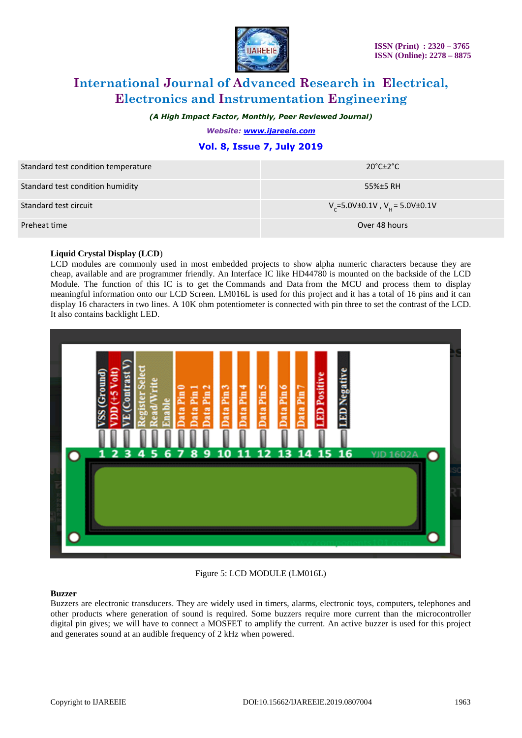

*(A High Impact Factor, Monthly, Peer Reviewed Journal)*

*Website: [www.ijareeie.com](http://www.ijareeie.com/)*

### **Vol. 8, Issue 7, July 2019**

| Standard test condition temperature | $20^{\circ}$ C $\pm$ 2 $^{\circ}$ C           |
|-------------------------------------|-----------------------------------------------|
| Standard test condition humidity    | 55%±5 RH                                      |
| Standard test circuit               | $V_c = 5.0V \pm 0.1V$ , $V_u = 5.0V \pm 0.1V$ |
| Preheat time                        | Over 48 hours                                 |

#### **Liquid Crystal Display (LCD**)

LCD modules are commonly used in most embedded projects to show alpha numeric characters because they are cheap, available and are programmer friendly. An Interface IC like HD44780 is mounted on the backside of the LCD Module. The function of this IC is to get the Commands and Data from the MCU and process them to display meaningful information onto our LCD Screen. LM016L is used for this project and it has a total of 16 pins and it can display 16 characters in two lines. A 10K ohm potentiometer is connected with pin three to set the contrast of the LCD. It also contains backlight LED.



#### Figure 5: LCD MODULE (LM016L)

#### **Buzzer**

Buzzers are electronic transducers. They are widely used in timers, alarms, electronic toys, computers, telephones and other products where generation of sound is required. Some buzzers require more current than the microcontroller digital pin gives; we will have to connect a MOSFET to amplify the current. An active buzzer is used for this project and generates sound at an audible frequency of 2 kHz when powered.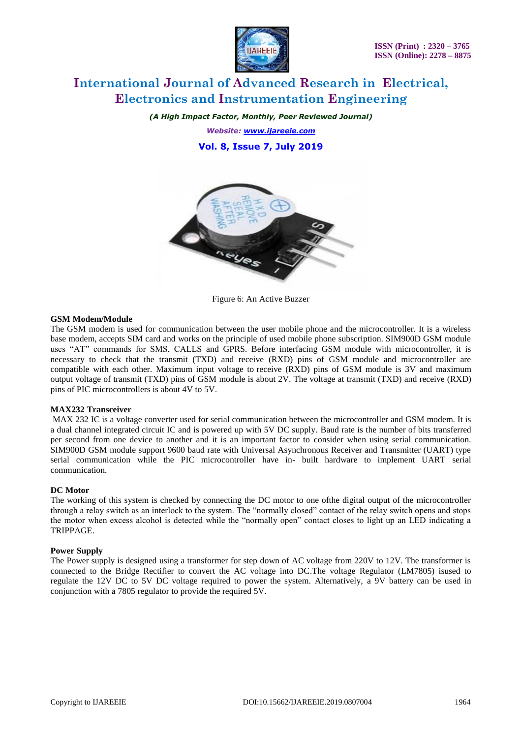

*(A High Impact Factor, Monthly, Peer Reviewed Journal) Website: [www.ijareeie.com](http://www.ijareeie.com/)* **Vol. 8, Issue 7, July 2019**



Figure 6: An Active Buzzer

#### **GSM Modem/Module**

The GSM modem is used for communication between the user mobile phone and the microcontroller. It is a wireless base modem, accepts SIM card and works on the principle of used mobile phone subscription. SIM900D GSM module uses "AT" commands for SMS, CALLS and GPRS. Before interfacing GSM module with microcontroller, it is necessary to check that the transmit (TXD) and receive (RXD) pins of GSM module and microcontroller are compatible with each other. Maximum input voltage to receive (RXD) pins of GSM module is 3V and maximum output voltage of transmit (TXD) pins of GSM module is about 2V. The voltage at transmit (TXD) and receive (RXD) pins of PIC microcontrollers is about 4V to 5V.

#### **MAX232 Transceiver**

MAX 232 IC is a voltage converter used for serial communication between the microcontroller and GSM modem. It is a dual channel integrated circuit IC and is powered up with 5V DC supply. Baud rate is the number of bits transferred per second from one device to another and it is an important factor to consider when using serial communication. SIM900D GSM module support 9600 baud rate with Universal Asynchronous Receiver and Transmitter (UART) type serial communication while the PIC microcontroller have in- built hardware to implement UART serial communication.

#### **DC Motor**

The working of this system is checked by connecting the DC motor to one ofthe digital output of the microcontroller through a relay switch as an interlock to the system. The "normally closed" contact of the relay switch opens and stops the motor when excess alcohol is detected while the "normally open" contact closes to light up an LED indicating a TRIPPAGE.

#### **Power Supply**

The Power supply is designed using a transformer for step down of AC voltage from 220V to 12V. The transformer is connected to the Bridge Rectifier to convert the AC voltage into DC.The voltage Regulator (LM7805) isused to regulate the 12V DC to 5V DC voltage required to power the system. Alternatively, a 9V battery can be used in conjunction with a 7805 regulator to provide the required 5V.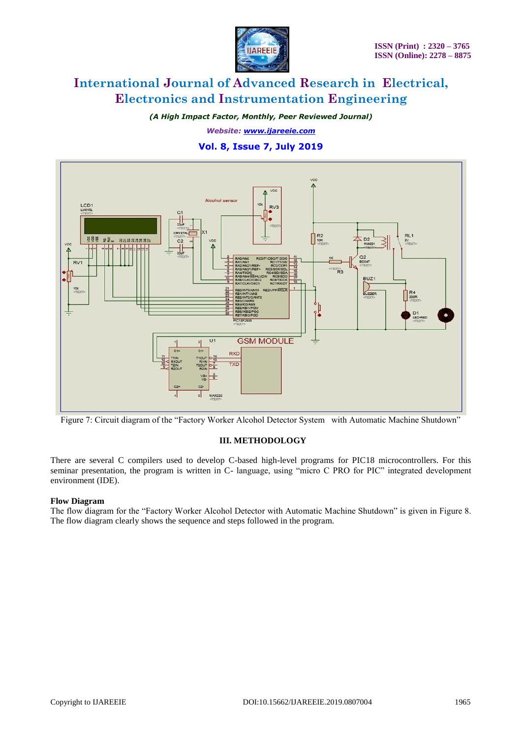

*(A High Impact Factor, Monthly, Peer Reviewed Journal)*

*Website: [www.ijareeie.com](http://www.ijareeie.com/)*

### **Vol. 8, Issue 7, July 2019**



Figure 7: Circuit diagram of the "Factory Worker Alcohol Detector System with Automatic Machine Shutdown"

### **III. METHODOLOGY**

There are several C compilers used to develop C-based high-level programs for PIC18 microcontrollers. For this seminar presentation, the program is written in C- language, using "micro C PRO for PIC" integrated development environment (IDE).

### **Flow Diagram**

The flow diagram for the "Factory Worker Alcohol Detector with Automatic Machine Shutdown" is given in Figure 8. The flow diagram clearly shows the sequence and steps followed in the program.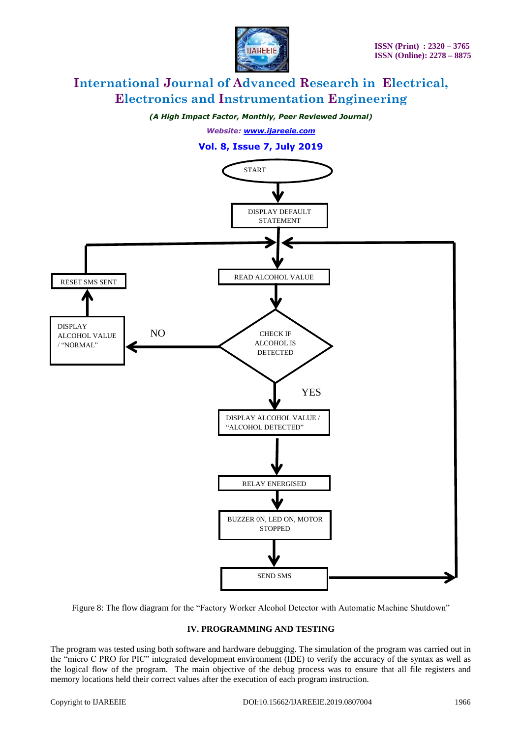

*(A High Impact Factor, Monthly, Peer Reviewed Journal)*

*Website: [www.ijareeie.com](http://www.ijareeie.com/)*



Figure 8: The flow diagram for the "Factory Worker Alcohol Detector with Automatic Machine Shutdown"

#### **IV. PROGRAMMING AND TESTING**

The program was tested using both software and hardware debugging. The simulation of the program was carried out in the "micro C PRO for PIC" integrated development environment (IDE) to verify the accuracy of the syntax as well as the logical flow of the program. The main objective of the debug process was to ensure that all file registers and memory locations held their correct values after the execution of each program instruction.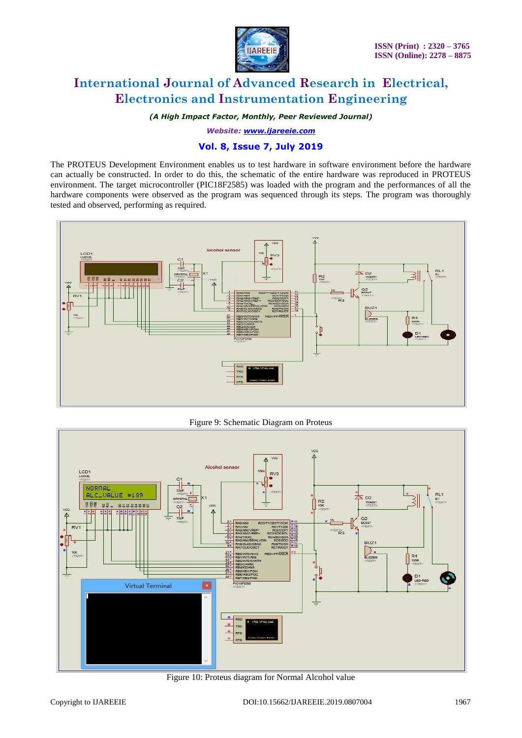

*(A High Impact Factor, Monthly, Peer Reviewed Journal)*

*Website: [www.ijareeie.com](http://www.ijareeie.com/)*

### **Vol. 8, Issue 7, July 2019**

The PROTEUS Development Environment enables us to test hardware in software environment before the hardware can actually be constructed. In order to do this, the schematic of the entire hardware was reproduced in PROTEUS environment. The target microcontroller (PIC18F2585) was loaded with the program and the performances of all the hardware components were observed as the program was sequenced through its steps. The program was thoroughly tested and observed, performing as required.



Figure 9: Schematic Diagram on Proteus



Figure 10: Proteus diagram for Normal Alcohol value